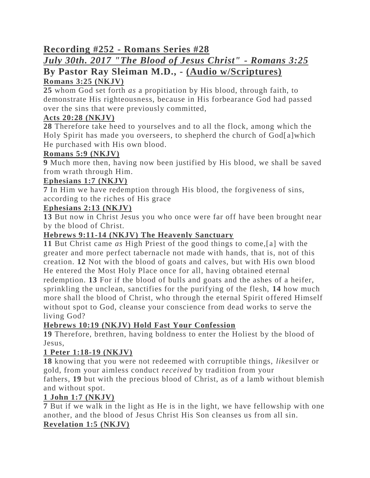# **Recording #252 - Romans Series #28**

# *July 30th. 2017 "The Blood of Jesus Christ" - Romans 3:25* **By Pastor Ray Sleiman M.D., - (Audio w/Scriptures)**

# **Romans 3:25 (NKJV)**

**25** whom God set forth *as* a propitiation by His blood, through faith, to demonstrate His righteousness, because in His forbearance God had passed over the sins that were previously committed,

## **Acts 20:28 (NKJV)**

**28** Therefore take heed to yourselves and to all the flock, among which the Holy Spirit has made you overseers, to shepherd the church of God[ [a\]](https://www.biblegateway.com/passage/?search=Acts+20%3A28&version=NKJV#fen-NKJV-27655a)which He purchased with His own blood.

## **Romans 5:9 (NKJV)**

**9** Much more then, having now been justified by His blood, we shall be saved from wrath through Him.

## **Ephesians 1:7 (NKJV)**

**7** In Him we have redemption through His blood, the forgiveness of sins, according to the riches of His grace

## **Ephesians 2:13 (NKJV)**

**13** But now in Christ Jesus you who once were far off have been brought near by the blood of Christ.

## **Hebrews 9:11-14 (NKJV) The Heavenly Sanctuary**

**11** But Christ came *as* High Priest of the good things to come,[\[a\]](https://www.biblegateway.com/passage/?search=heb+9%3A11-14&version=NKJV#fen-NKJV-30117a) with the greater and more perfect tabernacle not made with hands, that is, not of this creation. **12** Not with the blood of goats and calves, but with His own blood He entered the Most Holy Place once for all, having obtained eternal redemption. **13** For if the blood of bulls and goats and the ashes of a heifer, sprinkling the unclean, sanctifies for the purifying of the flesh, **14** how much more shall the blood of Christ, who through the eternal Spirit offered Himself without spot to God, cleanse your conscience from dead works to serve the living God?

## **Hebrews 10:19 (NKJV) Hold Fast Your Confession**

**19** Therefore, brethren, having boldness to enter the Holiest by the blood of Jesus,

## **1 Peter 1:18-19 (NKJV)**

**18** knowing that you were not redeemed with corruptible things, *like*silver or gold, from your aimless conduct *received* by tradition from your

fathers, **19** but with the precious blood of Christ, as of a lamb without blemish and without spot.

## **1 John 1:7 (NKJV)**

**7** But if we walk in the light as He is in the light, we have fellowship with one another, and the blood of Jesus Christ His Son cleanses us from all sin. **Revelation 1:5 (NKJV)**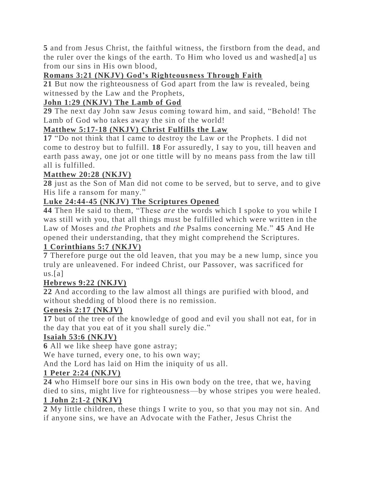**5** and from Jesus Christ, the faithful witness, the firstborn from the dead, and the ruler over the kings of the earth. To Him who loved us and washed[\[a\]](https://www.biblegateway.com/passage/?search=rev+1%3A5&version=NKJV#fen-NKJV-30703a) us from our sins in His own blood,

## **Romans 3:21 (NKJV) God's Righteousness Through Faith**

**21** But now the righteousness of God apart from the law is revealed, being witnessed by the Law and the Prophets,

## **John 1:29 (NKJV) The Lamb of God**

**29** The next day John saw Jesus coming toward him, and said, "Behold! The Lamb of God who takes away the sin of the world!

## **Matthew 5:17-18 (NKJV) Christ Fulfills the Law**

**17** "Do not think that I came to destroy the Law or the Prophets. I did not come to destroy but to fulfill. **18** For assuredly, I say to you, till heaven and earth pass away, one jot or one tittle will by no means pass from the law till all is fulfilled.

## **Matthew 20:28 (NKJV)**

**28** just as the Son of Man did not come to be served, but to serve, and to give His life a ransom for many."

#### **Luke 24:44-45 (NKJV) The Scriptures Opened**

**44** Then He said to them, "These *are* the words which I spoke to you while I was still with you, that all things must be fulfilled which were written in the Law of Moses and *the* Prophets and *the* Psalms concerning Me." **45** And He opened their understanding, that they might comprehend the Scriptures.

#### **1 Corinthians 5:7 (NKJV)**

**7** Therefore purge out the old leaven, that you may be a new lump, since you truly are unleavened. For indeed Christ, our Passover, was sacrificed for  $us.[a]$  $us.[a]$ 

## **Hebrews 9:22 (NKJV)**

**22** And according to the law almost all things are purified with blood, and without shedding of blood there is no remission.

#### **Genesis 2:17 (NKJV)**

**17** but of the tree of the knowledge of good and evil you shall not eat, for in the day that you eat of it you shall surely die."

## **Isaiah 53:6 (NKJV)**

**6** All we like sheep have gone astray;

We have turned, every one, to his own way;

And the Lord has laid on Him the iniquity of us all.

## **1 Peter 2:24 (NKJV)**

**24** who Himself bore our sins in His own body on the tree, that we, having died to sins, might live for righteousness—by whose stripes you were healed.

# **1 John 2:1-2 (NKJV)**

**2** My little children, these things I write to you, so that you may not sin. And if anyone sins, we have an Advocate with the Father, Jesus Christ the